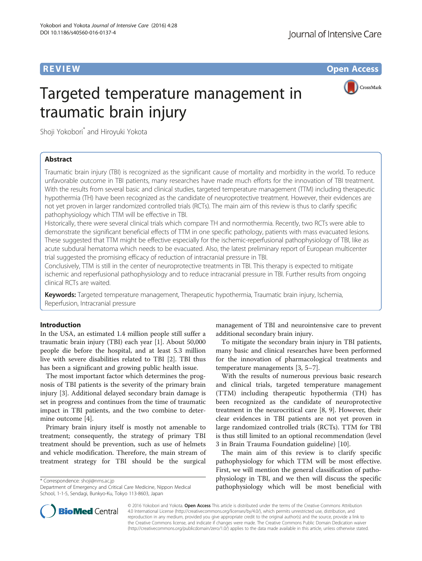**REVIEW CONSTRUCTION CONSTRUCTION CONSTRUCTS** 



# Targeted temperature management in traumatic brain injury

Shoji Yokobori<sup>\*</sup> and Hiroyuki Yokota

# Abstract

Traumatic brain injury (TBI) is recognized as the significant cause of mortality and morbidity in the world. To reduce unfavorable outcome in TBI patients, many researches have made much efforts for the innovation of TBI treatment. With the results from several basic and clinical studies, targeted temperature management (TTM) including therapeutic hypothermia (TH) have been recognized as the candidate of neuroprotective treatment. However, their evidences are not yet proven in larger randomized controlled trials (RCTs). The main aim of this review is thus to clarify specific pathophysiology which TTM will be effective in TBI.

Historically, there were several clinical trials which compare TH and normothermia. Recently, two RCTs were able to demonstrate the significant beneficial effects of TTM in one specific pathology, patients with mass evacuated lesions. These suggested that TTM might be effective especially for the ischemic-reperfusional pathophysiology of TBI, like as acute subdural hematoma which needs to be evacuated. Also, the latest preliminary report of European multicenter trial suggested the promising efficacy of reduction of intracranial pressure in TBI.

Conclusively, TTM is still in the center of neuroprotective treatments in TBI. This therapy is expected to mitigate ischemic and reperfusional pathophysiology and to reduce intracranial pressure in TBI. Further results from ongoing clinical RCTs are waited.

Keywords: Targeted temperature management, Therapeutic hypothermia, Traumatic brain injury, Ischemia, Reperfusion, Intracranial pressure

# Introduction

In the USA, an estimated 1.4 million people still suffer a traumatic brain injury (TBI) each year [\[1](#page-7-0)]. About 50,000 people die before the hospital, and at least 5.3 million live with severe disabilities related to TBI [\[2](#page-7-0)]. TBI thus has been a significant and growing public health issue.

The most important factor which determines the prognosis of TBI patients is the severity of the primary brain injury [\[3\]](#page-7-0). Additional delayed secondary brain damage is set in progress and continues from the time of traumatic impact in TBI patients, and the two combine to determine outcome [[4\]](#page-7-0).

Primary brain injury itself is mostly not amenable to treatment; consequently, the strategy of primary TBI treatment should be prevention, such as use of helmets and vehicle modification. Therefore, the main stream of treatment strategy for TBI should be the surgical

\* Correspondence: [shoji@nms.ac.jp](mailto:shoji@nms.ac.jp)

management of TBI and neurointensive care to prevent additional secondary brain injury.

To mitigate the secondary brain injury in TBI patients, many basic and clinical researches have been performed for the innovation of pharmacological treatments and temperature managements [\[3](#page-7-0), [5](#page-7-0)–[7](#page-7-0)].

With the results of numerous previous basic research and clinical trials, targeted temperature management (TTM) including therapeutic hypothermia (TH) has been recognized as the candidate of neuroprotective treatment in the neurocritical care [\[8, 9](#page-7-0)]. However, their clear evidences in TBI patients are not yet proven in large randomized controlled trials (RCTs). TTM for TBI is thus still limited to an optional recommendation (level 3 in Brain Trauma Foundation guideline) [[10\]](#page-7-0).

The main aim of this review is to clarify specific pathophysiology for which TTM will be most effective. First, we will mention the general classification of pathophysiology in TBI, and we then will discuss the specific pathophysiology which will be most beneficial with



© 2016 Yokobori and Yokota. Open Access This article is distributed under the terms of the Creative Commons Attribution 4.0 International License ([http://creativecommons.org/licenses/by/4.0/\)](http://creativecommons.org/licenses/by/4.0/), which permits unrestricted use, distribution, and reproduction in any medium, provided you give appropriate credit to the original author(s) and the source, provide a link to the Creative Commons license, and indicate if changes were made. The Creative Commons Public Domain Dedication waiver [\(http://creativecommons.org/publicdomain/zero/1.0/](http://creativecommons.org/publicdomain/zero/1.0/)) applies to the data made available in this article, unless otherwise stated.

Department of Emergency and Critical Care Medicine, Nippon Medical School, 1-1-5, Sendagi, Bunkyo-Ku, Tokyo 113-8603, Japan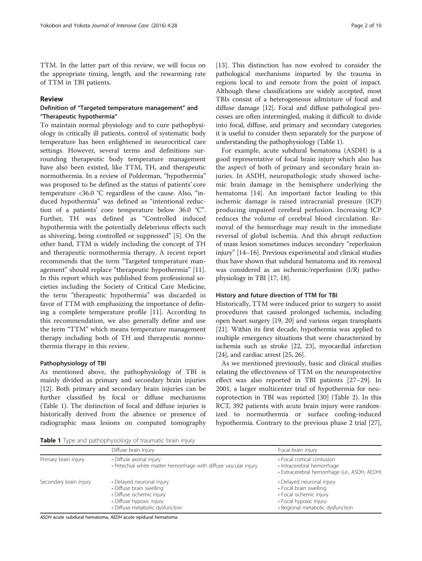TTM. In the latter part of this review, we will focus on the appropriate timing, length, and the rewarming rate of TTM in TBI patients.

#### Review

### Definition of "Targeted temperature management" and "Therapeutic hypothermia"

To maintain normal physiology and to cure pathophysiology in critically ill patients, control of systematic body temperature has been enlightened in neurocritical care settings. However, several terms and definitions surrounding therapeutic body temperature management have also been existed, like TTM, TH, and therapeutic normothermia. In a review of Polderman, "hypothermia" was proposed to be defined as the status of patients' core temperature <36.0 °C regardless of the cause. Also, "induced hypothermia" was defined as "intentional reduction of a patients' core temperature below 36.0 °C". Further, TH was defined as "Controlled induced hypothermia with the potentially deleterious effects such as shivering, being controlled or suppressed" [[5\]](#page-7-0). On the other hand, TTM is widely including the concept of TH and therapeutic normothermia therapy. A recent report recommends that the term "Targeted temperature management" should replace "therapeutic hypothermia" [\[11](#page-7-0)]. In this report which was published from professional societies including the Society of Critical Care Medicine, the term "therapeutic hypothermia" was discarded in favor of TTM with emphasizing the importance of defining a complete temperature profile [\[11\]](#page-7-0). According to this recommendation, we also generally define and use the term "TTM" which means temperature management therapy including both of TH and therapeutic normothermia therapy in this review.

#### Pathophysiology of TBI

As mentioned above, the pathophysiology of TBI is mainly divided as primary and secondary brain injuries [[12\]](#page-7-0). Both primary and secondary brain injuries can be further classified by focal or diffuse mechanisms (Table 1). The distinction of focal and diffuse injuries is historically derived from the absence or presence of radiographic mass lesions on computed tomography

[[13\]](#page-7-0). This distinction has now evolved to consider the pathological mechanisms imparted by the trauma in regions local to and remote from the point of impact. Although these classifications are widely accepted, most TBIs consist of a heterogeneous admixture of focal and diffuse damage [[12](#page-7-0)]. Focal and diffuse pathological processes are often intermingled, making it difficult to divide into focal, diffuse, and primary and secondary categories; it is useful to consider them separately for the purpose of understanding the pathophysiology (Table 1).

For example, acute subdural hematoma (ASDH) is a good representative of focal brain injury which also has the aspect of both of primary and secondary brain injuries. In ASDH, neuropathologic study showed ischemic brain damage in the hemisphere underlying the hematoma [[14](#page-7-0)]. An important factor leading to this ischemic damage is raised intracranial pressure (ICP) producing impaired cerebral perfusion. Increasing ICP reduces the volume of cerebral blood circulation. Removal of the hemorrhage may result in the immediate reversal of global ischemia. And this abrupt reduction of mass lesion sometimes induces secondary "reperfusion injury" [\[14](#page-7-0)–[16](#page-7-0)]. Previous experimental and clinical studies thus have shown that subdural hematoma and its removal was considered as an ischemic/reperfusion (I/R) pathophysiology in TBI [\[17, 18](#page-7-0)].

#### History and future direction of TTM for TBI

Historically, TTM were induced prior to surgery to assist procedures that caused prolonged ischemia, including open heart surgery [\[19, 20\]](#page-7-0) and various organ transplants [[21](#page-7-0)]. Within its first decade, hypothermia was applied to multiple emergency situations that were characterized by ischemia such as stroke [\[22, 23\]](#page-7-0), myocardial infarction [[24](#page-7-0)], and cardiac arrest [\[25, 26\]](#page-7-0).

As we mentioned previously, basic and clinical studies relating the effectiveness of TTM on the neuroprotective effect was also reported in TBI patients [\[27](#page-7-0)–[29\]](#page-7-0). In 2001, a larger multicenter trial of hypothermia for neuroprotection in TBI was reported [\[30](#page-7-0)] (Table [2](#page-2-0)). In this RCT, 392 patients with acute brain injury were randomized to normothermia or surface cooling-induced hypothermia. Contrary to the previous phase 2 trial [\[27](#page-7-0)],

Table 1 Type and pathophysiology of traumatic brain injury

|                        | Diffuse brain injury                                                                                                                              | Focal brain injury                                                                                                                           |  |  |
|------------------------|---------------------------------------------------------------------------------------------------------------------------------------------------|----------------------------------------------------------------------------------------------------------------------------------------------|--|--|
| Primary brain injury   | • Diffuse axonal injury<br>• Petechial white matter hemorrhage with diffuse vascular injury                                                       | • Focal cortical contusion<br>· Intracerebral hemorrhage<br>· Extracerebral hemorrhage (i.e., ASDH, AEDH)                                    |  |  |
| Secondary brain injury | • Delayed neuronal injury<br>• Diffuse brain swelling<br>· Diffuse ischemic injury<br>• Diffuse hypoxic injury<br>• Diffuse metabolic dysfunction | • Delayed neuronal injury<br>• Focal brain swelling<br>• Focal ischemic injury<br>• Focal hypoxic injury<br>• Regional metabolic dysfunction |  |  |

ASDH acute subdural hematoma, AEDH acute epidural hematoma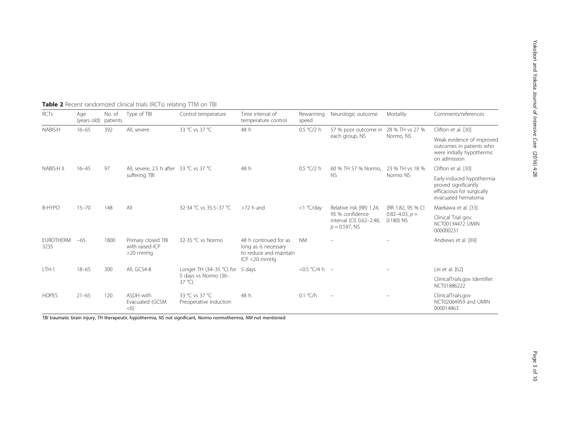| <b>RCTs</b>              | Age<br>(years old) patients | No. of | Type of TBI                                              | Control temperature                                                           | Time interval of<br>temperature control                                                    | Rewarming<br>speed | Neurologic outcome                                                                          | Mortality                                                 | Comments/references                                                                                   |
|--------------------------|-----------------------------|--------|----------------------------------------------------------|-------------------------------------------------------------------------------|--------------------------------------------------------------------------------------------|--------------------|---------------------------------------------------------------------------------------------|-----------------------------------------------------------|-------------------------------------------------------------------------------------------------------|
| NABIS:H                  | $16 - 65$                   | 392    | All, severe                                              | 33 °C vs 37 °C                                                                | 48 h                                                                                       | 0.5 °C/2 h         | 57 % poor outcome in 28 % TH vs 27 %<br>each group, NS                                      | Normo, NS                                                 | Clifton et al. [30]                                                                                   |
|                          |                             |        |                                                          |                                                                               |                                                                                            |                    |                                                                                             |                                                           | Weak evidence of improved<br>outcomes in patients who<br>were initially hypothermic<br>on admission   |
| NABIS:H II               | $16 - 45$                   | 97     | All. severe. 2.5 h after 33 °C vs 37 °C<br>suffering TBI |                                                                               | 48 h                                                                                       | 0.5 °C/2 h         | 60 % TH 57 % Normo.<br><b>NS</b>                                                            | 23 % TH vs 18 %<br>Normo NS                               | Clifton et al. [30]                                                                                   |
|                          |                             |        |                                                          |                                                                               |                                                                                            |                    |                                                                                             |                                                           | Early-induced hypothermia<br>proved significantly<br>efficacious for surgically<br>evacuated hematoma |
| B-HYPO                   | $15 - 70$                   | 148    | All                                                      | 32-34 °C vs 35.5-37 °C                                                        | $>72$ h and                                                                                | $<$ 1 °C/day       | Relative risk (RR) 1.24.<br>95 % confidence<br>interval (CI) 0.62-2.48,<br>$p = 0.597$ , NS | (RR 1.82, 95 % CI<br>$0.82 - 4.03$ , $p =$<br>$0.180)$ NS | Maekawa et al. [33]                                                                                   |
|                          |                             |        |                                                          |                                                                               |                                                                                            |                    |                                                                                             |                                                           | Clinical Trial gov.<br>NCT00134472 UMIN<br>000000231                                                  |
| <b>EUROTHERM</b><br>3235 | $-65$                       | 1800   | Primary closed TBI<br>with raised ICP<br>$>20$ mmHq      | 32-35 °C vs Normo                                                             | 48 h continued for as<br>long as is necessary<br>to reduce and maintain<br>$ICP < 20$ mmHq | <b>NM</b>          |                                                                                             |                                                           | Andrews et al. [89]                                                                                   |
| LTH-1                    | $18 - 65$                   | 300    | All, GCS4-8                                              | Longer TH $(34-35 °C)$ for 5 days<br>5 days vs Normo (36-<br>$37^{\circ}$ C). |                                                                                            | <0.5 $°C/4 h -$    |                                                                                             |                                                           | Lei et al. [62]                                                                                       |
|                          |                             |        |                                                          |                                                                               |                                                                                            |                    |                                                                                             |                                                           | ClinicalTrials.gov Identifier:<br>NCT01886222                                                         |
| <b>HOPES</b>             | $21 - 65$                   | 120    | ASDH with<br>Evacuated (GCSM<br>< 6                      | 33 °C vs 37 °C<br>Preoperative induction                                      | 48 h                                                                                       | 0.1 °C/h           |                                                                                             |                                                           | ClinicalTrials.gov<br>NCT02064959 and UMIN<br>000014863                                               |

<span id="page-2-0"></span>Table 2 Recent randomized clinical trials (RCTs) relating TTM on TBI

TBI traumatic brain injury, TH therapeutic hypothermia, NS not significant, Normo normothermia, NM not mentioned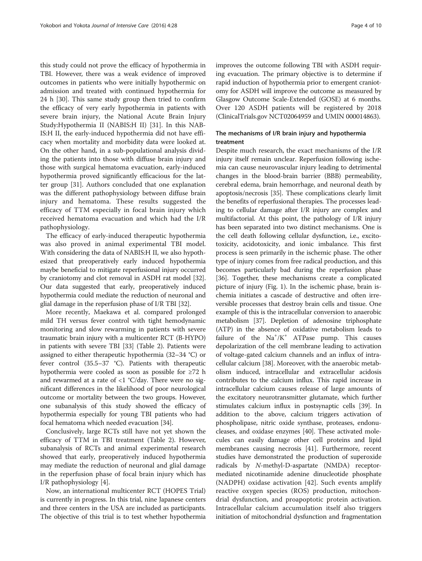this study could not prove the efficacy of hypothermia in TBI. However, there was a weak evidence of improved outcomes in patients who were initially hypothermic on admission and treated with continued hypothermia for 24 h [[30](#page-7-0)]. This same study group then tried to confirm the efficacy of very early hypothermia in patients with severe brain injury, the National Acute Brain Injury Study:Hypothermia II (NABIS:H II) [[31\]](#page-7-0). In this NAB-IS:H II, the early-induced hypothermia did not have efficacy when mortality and morbidity data were looked at. On the other hand, in a sub-populational analysis dividing the patients into those with diffuse brain injury and those with surgical hematoma evacuation, early-induced hypothermia proved significantly efficacious for the latter group [[31\]](#page-7-0). Authors concluded that one explanation was the different pathophysiology between diffuse brain injury and hematoma. These results suggested the efficacy of TTM especially in focal brain injury which received hematoma evacuation and which had the I/R pathophysiology.

The efficacy of early-induced therapeutic hypothermia was also proved in animal experimental TBI model. With considering the data of NABIS:H II, we also hypothesized that preoperatively early induced hypothermia maybe beneficial to mitigate reperfusional injury occurred by craniotomy and clot removal in ASDH rat model [[32](#page-8-0)]. Our data suggested that early, preoperatively induced hypothermia could mediate the reduction of neuronal and glial damage in the reperfusion phase of I/R TBI [[32](#page-8-0)].

More recently, Maekawa et al. compared prolonged mild TH versus fever control with tight hemodynamic monitoring and slow rewarming in patients with severe traumatic brain injury with a multicenter RCT (B-HYPO) in patients with severe TBI [\[33\]](#page-8-0) (Table [2\)](#page-2-0). Patients were assigned to either therapeutic hypothermia (32–34 °C) or fever control (35.5–37 °C). Patients with therapeutic hypothermia were cooled as soon as possible for ≥72 h and rewarmed at a rate of <1 °C/day. There were no significant differences in the likelihood of poor neurological outcome or mortality between the two groups. However, one subanalysis of this study showed the efficacy of hypothermia especially for young TBI patients who had focal hematoma which needed evacuation [[34](#page-8-0)].

Conclusively, large RCTs still have not yet shown the efficacy of TTM in TBI treatment (Table [2\)](#page-2-0). However, subanalysis of RCTs and animal experimental research showed that early, preoperatively induced hypothermia may mediate the reduction of neuronal and glial damage in the reperfusion phase of focal brain injury which has I/R pathophysiology [\[4\]](#page-7-0).

Now, an international multicenter RCT (HOPES Trial) is currently in progress. In this trial, nine Japanese centers and three centers in the USA are included as participants. The objective of this trial is to test whether hypothermia

improves the outcome following TBI with ASDH requiring evacuation. The primary objective is to determine if rapid induction of hypothermia prior to emergent craniotomy for ASDH will improve the outcome as measured by Glasgow Outcome Scale-Extended (GOSE) at 6 months. Over 120 ASDH patients will be registered by 2018 (ClinicalTrials.gov NCT02064959 and UMIN 000014863).

#### The mechanisms of I/R brain injury and hypothermia treatment

Despite much research, the exact mechanisms of the I/R injury itself remain unclear. Reperfusion following ischemia can cause neurovascular injury leading to detrimental changes in the blood-brain barrier (BBB) permeability, cerebral edema, brain hemorrhage, and neuronal death by apoptosis/necrosis [\[35\]](#page-8-0). These complications clearly limit the benefits of reperfusional therapies. The processes leading to cellular damage after I/R injury are complex and multifactorial. At this point, the pathology of I/R injury has been separated into two distinct mechanisms. One is the cell death following cellular dysfunction, i.e., excitotoxicity, acidotoxicity, and ionic imbalance. This first process is seen primarily in the ischemic phase. The other type of injury comes from free radical production, and this becomes particularly bad during the reperfusion phase [[36](#page-8-0)]. Together, these mechanisms create a complicated picture of injury (Fig. [1](#page-4-0)). In the ischemic phase, brain ischemia initiates a cascade of destructive and often irreversible processes that destroy brain cells and tissue. One example of this is the intracellular conversion to anaerobic metabolism [[37](#page-8-0)]. Depletion of adenosine triphosphate (ATP) in the absence of oxidative metabolism leads to failure of the  $Na^+/K^+$  ATPase pump. This causes depolarization of the cell membrane leading to activation of voltage-gated calcium channels and an influx of intracellular calcium [\[38\]](#page-8-0). Moreover, with the anaerobic metabolism induced, intracellular and extracellular acidosis contributes to the calcium influx. This rapid increase in intracellular calcium causes release of large amounts of the excitatory neurotransmitter glutamate, which further stimulates calcium influx in postsynaptic cells [[39](#page-8-0)]. In addition to the above, calcium triggers activation of phospholipase, nitric oxide synthase, proteases, endonucleases, and oxidase enzymes [\[40\]](#page-8-0). These activated molecules can easily damage other cell proteins and lipid membranes causing necrosis [\[41\]](#page-8-0). Furthermore, recent studies have demonstrated the production of superoxide radicals by N-methyl-D-aspartate (NMDA) receptormediated nicotinamide adenine dinucleotide phosphate (NADPH) oxidase activation [\[42](#page-8-0)]. Such events amplify reactive oxygen species (ROS) production, mitochondrial dysfunction, and proapoptotic protein activation. Intracellular calcium accumulation itself also triggers initiation of mitochondrial dysfunction and fragmentation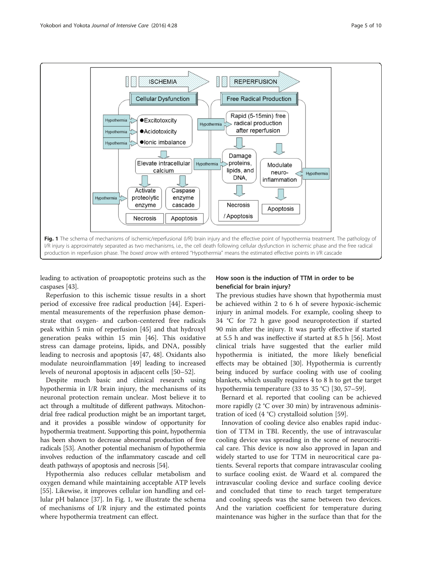<span id="page-4-0"></span>

leading to activation of proapoptotic proteins such as the caspases [\[43\]](#page-8-0).

Reperfusion to this ischemic tissue results in a short period of excessive free radical production [[44\]](#page-8-0). Experimental measurements of the reperfusion phase demonstrate that oxygen- and carbon-centered free radicals peak within 5 min of reperfusion [[45\]](#page-8-0) and that hydroxyl generation peaks within 15 min [\[46](#page-8-0)]. This oxidative stress can damage proteins, lipids, and DNA, possibly leading to necrosis and apoptosis [[47](#page-8-0), [48\]](#page-8-0). Oxidants also modulate neuroinflammation [[49\]](#page-8-0) leading to increased levels of neuronal apoptosis in adjacent cells [[50](#page-8-0)–[52](#page-8-0)].

Despite much basic and clinical research using hypothermia in I/R brain injury, the mechanisms of its neuronal protection remain unclear. Most believe it to act through a multitude of different pathways. Mitochondrial free radical production might be an important target, and it provides a possible window of opportunity for hypothermia treatment. Supporting this point, hypothermia has been shown to decrease abnormal production of free radicals [\[53\]](#page-8-0). Another potential mechanism of hypothermia involves reduction of the inflammatory cascade and cell death pathways of apoptosis and necrosis [\[54\]](#page-8-0).

Hypothermia also reduces cellular metabolism and oxygen demand while maintaining acceptable ATP levels [[55\]](#page-8-0). Likewise, it improves cellular ion handling and cellular pH balance [[37\]](#page-8-0). In Fig. 1, we illustrate the schema of mechanisms of I/R injury and the estimated points where hypothermia treatment can effect.

# How soon is the induction of TTM in order to be beneficial for brain injury?

The previous studies have shown that hypothermia must be achieved within 2 to 6 h of severe hypoxic-ischemic injury in animal models. For example, cooling sheep to 34 °C for 72 h gave good neuroprotection if started 90 min after the injury. It was partly effective if started at 5.5 h and was ineffective if started at 8.5 h [[56\]](#page-8-0). Most clinical trials have suggested that the earlier mild hypothermia is initiated, the more likely beneficial effects may be obtained [\[30\]](#page-7-0). Hypothermia is currently being induced by surface cooling with use of cooling blankets, which usually requires 4 to 8 h to get the target hypothermia temperature (33 to 35 °C) [\[30,](#page-7-0) [57](#page-8-0)–[59\]](#page-8-0).

Bernard et al. reported that cooling can be achieved more rapidly (2 °C over 30 min) by intravenous administration of iced (4 °C) crystalloid solution [\[59\]](#page-8-0).

Innovation of cooling device also enables rapid induction of TTM in TBI. Recently, the use of intravascular cooling device was spreading in the scene of neurocritical care. This device is now also approved in Japan and widely started to use for TTM in neurocritical care patients. Several reports that compare intravascular cooling to surface cooling exist. de Waard et al. compared the intravascular cooling device and surface cooling device and concluded that time to reach target temperature and cooling speeds was the same between two devices. And the variation coefficient for temperature during maintenance was higher in the surface than that for the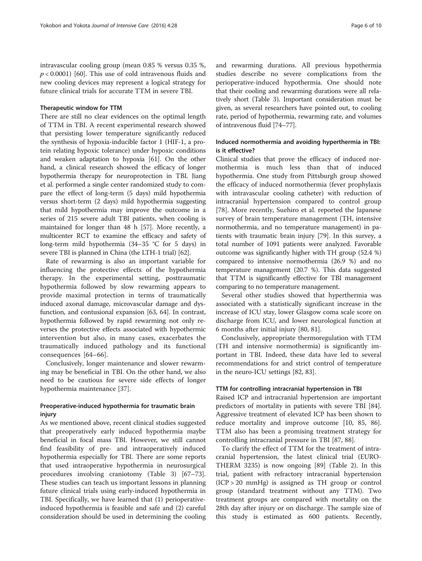intravascular cooling group (mean 0.85 % versus 0.35 %,  $p < 0.0001$  [[60\]](#page-8-0). This use of cold intravenous fluids and new cooling devices may represent a logical strategy for future clinical trials for accurate TTM in severe TBI.

#### Therapeutic window for TTM

There are still no clear evidences on the optimal length of TTM in TBI. A recent experimental research showed that persisting lower temperature significantly reduced the synthesis of hypoxia-inducible factor 1 (HIF-1, a protein relating hypoxic tolerance) under hypoxic conditions and weaken adaptation to hypoxia [[61](#page-8-0)]. On the other hand, a clinical research showed the efficacy of longer hypothermia therapy for neuroprotection in TBI. Jiang et al. performed a single center randomized study to compare the effect of long-term (5 days) mild hypothermia versus short-term (2 days) mild hypothermia suggesting that mild hypothermia may improve the outcome in a series of 215 severe adult TBI patients, when cooling is maintained for longer than 48 h [[57](#page-8-0)]. More recently, a multicenter RCT to examine the efficacy and safety of long-term mild hypothermia (34–35 °C for 5 days) in severe TBI is planned in China (the LTH-1 trial) [[62](#page-8-0)].

Rate of rewarming is also an important variable for influencing the protective effects of the hypothermia therapy. In the experimental setting, posttraumatic hypothermia followed by slow rewarming appears to provide maximal protection in terms of traumatically induced axonal damage, microvascular damage and dysfunction, and contusional expansion [\[63](#page-8-0), [64](#page-8-0)]. In contrast, hypothermia followed by rapid rewarming not only reverses the protective effects associated with hypothermic intervention but also, in many cases, exacerbates the traumatically induced pathology and its functional consequences [[64](#page-8-0)–[66](#page-8-0)].

Conclusively, longer maintenance and slower rewarming may be beneficial in TBI. On the other hand, we also need to be cautious for severe side effects of longer hypothermia maintenance [[37](#page-8-0)].

# Preoperative-induced hypothermia for traumatic brain injury

As we mentioned above, recent clinical studies suggested that preoperatively early induced hypothermia maybe beneficial in focal mass TBI. However, we still cannot find feasibility of pre- and intraoperatively induced hypothermia especially for TBI. There are some reports that used intraoperative hypothermia in neurosurgical procedures involving craniotomy (Table [3\)](#page-6-0) [[67](#page-8-0)–[73](#page-8-0)]. These studies can teach us important lessons in planning future clinical trials using early-induced hypothermia in TBI. Specifically, we have learned that (1) perioperativeinduced hypothermia is feasible and safe and (2) careful consideration should be used in determining the cooling and rewarming durations. All previous hypothermia studies describe no severe complications from the perioperative-induced hypothermia. One should note that their cooling and rewarming durations were all relatively short (Table [3](#page-6-0)). Important consideration must be given, as several researchers have pointed out, to cooling rate, period of hypothermia, rewarming rate, and volumes of intravenous fluid [\[74](#page-8-0)–[77](#page-9-0)].

# Induced normothermia and avoiding hyperthermia in TBI: is it effective?

Clinical studies that prove the efficacy of induced normothermia is much less than that of induced hypothermia. One study from Pittsburgh group showed the efficacy of induced normothermia (fever prophylaxis with intravascular cooling catheter) with reduction of intracranial hypertension compared to control group [[78\]](#page-9-0). More recently, Suehiro et al. reported the Japanese survey of brain temperature management (TH, intensive normothermia, and no temperature management) in patients with traumatic brain injury [\[79\]](#page-9-0). In this survey, a total number of 1091 patients were analyzed. Favorable outcome was significantly higher with TH group (52.4 %) compared to intensive normothermia (26.9 %) and no temperature management (20.7 %). This data suggested that TTM is significantly effective for TBI management comparing to no temperature management.

Several other studies showed that hyperthermia was associated with a statistically significant increase in the increase of ICU stay, lower Glasgow coma scale score on discharge from ICU, and lower neurological function at 6 months after initial injury [\[80, 81\]](#page-9-0).

Conclusively, appropriate thermoregulation with TTM (TH and intensive normothermia) is significantly important in TBI. Indeed, these data have led to several recommendations for and strict control of temperature in the neuro-ICU settings [\[82, 83\]](#page-9-0).

#### TTM for controlling intracranial hypertension in TBI

Raised ICP and intracranial hypertension are important predictors of mortality in patients with severe TBI [\[84](#page-9-0)]. Aggressive treatment of elevated ICP has been shown to reduce mortality and improve outcome [\[10](#page-7-0), [85](#page-9-0), [86](#page-9-0)]. TTM also has been a promising treatment strategy for controlling intracranial pressure in TBI [[87, 88\]](#page-9-0).

To clarify the effect of TTM for the treatment of intracranial hypertension, the latest clinical trial (EURO-THERM 3235) is now ongoing [[89\]](#page-9-0) (Table [2\)](#page-2-0). In this trial, patient with refractory intracranial hypertension (ICP > 20 mmHg) is assigned as TH group or control group (standard treatment without any TTM). Two treatment groups are compared with mortality on the 28th day after injury or on discharge. The sample size of this study is estimated as 600 patients. Recently,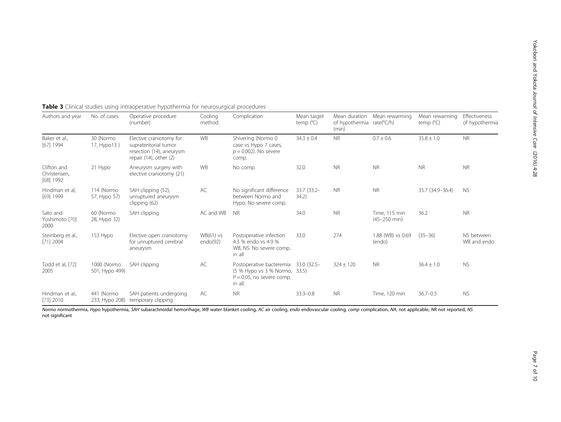| Authors and year                                    | No. of cases                  | Operative procedure<br>(number)                                                                            | Cooling<br>method       | Complication                                                                                         | Mean target<br>temp $(^{\circ}C)$ | Mean duration<br>of hypothermia rate(°C/h)<br>(min) | Mean rewarming                    | Mean rewarming<br>temp $(^{\circ}C)$ | Effectiveness<br>of hypothermia |
|-----------------------------------------------------|-------------------------------|------------------------------------------------------------------------------------------------------------|-------------------------|------------------------------------------------------------------------------------------------------|-----------------------------------|-----------------------------------------------------|-----------------------------------|--------------------------------------|---------------------------------|
| Baker et al.,<br>$[67]$ 1994                        | 30 (Normo<br>17, Hypo13)      | Elective craniotomy for<br>supratentorial tumor<br>resection (14), aneurysm<br>repair $(14)$ , other $(2)$ | <b>WB</b>               | Shivering (Normo 0<br>case vs Hypo 7 cases,<br>$p = 0.002$ ). No severe<br>comp.                     | $34.3 \pm 0.4$                    | <b>NR</b>                                           | $0.7 \pm 0.6$                     | $35.8 \pm 1.0$                       | <b>NR</b>                       |
| Clifton and<br>21 Hypo<br>Christensen.<br>[68] 1992 |                               | Aneurysm surgery with<br>elective craniotomy (21)                                                          | <b>WB</b>               | No comp.                                                                                             | 32.0                              | <b>NR</b>                                           | <b>NR</b>                         | <b>NR</b>                            | <b>NR</b>                       |
| Hindman et al,<br>[69] 1999                         | 114 (Normo<br>57, Hypo 57)    | SAH clipping (52),<br>unruptured aneurysm<br>clipping (62)                                                 | AC                      | No significant difference<br>between Normo and<br>Hypo. No severe comp.                              | 33.7 (33.2-<br>34.2)              | <b>NR</b>                                           | <b>NR</b>                         | 35.7 (34.9-36.4)                     | <b>NS</b>                       |
| Sato and<br>Yoshimoto [70]<br>2000                  | 60 (Normo<br>28, Hypo 32)     | SAH clipping                                                                                               | AC and WB               | <b>NR</b>                                                                                            | 34.0                              | <b>NR</b>                                           | Time, 115 min<br>$(45 - 250$ min) | 36.2                                 | <b>NR</b>                       |
| Steinberg et al.,<br>$[71]$ 2004                    | 153 Hypo                      | Elective open craniotomy<br>for unruptured cerebral<br>aneurysm                                            | $WB(61)$ vs<br>endo(92) | Postoperative infection<br>4.3 % endo vs 4.9 %<br>WB, NS. No severe comp.<br>in all                  | 33.0                              | 274                                                 | 1.88 (WB) vs 0.69<br>(endo)       | $(35 - 36)$                          | NS between<br>WB and endo       |
| Todd et al, [72]<br>2005                            | 1000 (Normo<br>501, Hypo 499) | SAH clipping                                                                                               | AC                      | Postoperative bacteremia<br>(5 % Hypo vs 3 % Normo, 33.5)<br>$P = 0.05$ , no severe comp.<br>in all. | 33.0 (32.5-                       | $324 \pm 120$                                       | <b>NR</b>                         | $36.4 \pm 1.0$                       | <b>NS</b>                       |
| Hindman et al.,<br>$[73]$ 2010                      | 441 (Normo<br>233, Hypo 208)  | SAH patients undergoing<br>temporary clipping                                                              | AC                      | <b>NR</b>                                                                                            | $33.3 - 0.8$                      | <b>NR</b>                                           | Time, 120 min                     | $36.7 - 0.5$                         | <b>NS</b>                       |

# <span id="page-6-0"></span>Table 3 Clinical studies using intraoperative hypothermia for neurosurgical procedures

Normo normothermia, Hypo hypothermia, SAH subarachnoidal hemorrhage, WB water blanket cooling, AC air cooling, endo endovascular cooling, comp complication, NA, not applicable, NR not reported, NS not significant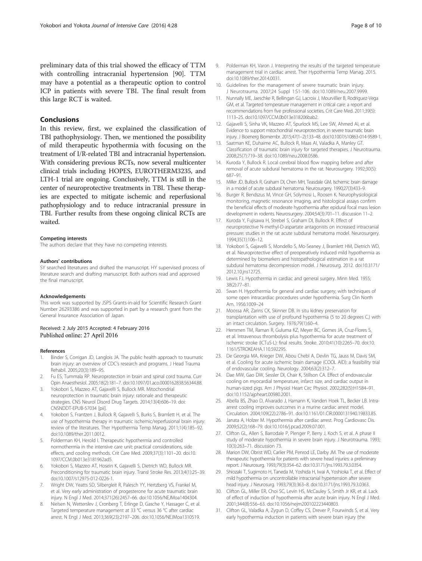#### <span id="page-7-0"></span>Conclusions

In this review, first, we explained the classification of TBI pathophysiology. Then, we mentioned the possibility of mild therapeutic hypothermia with focusing on the treatment of I/R-related TBI and intracranial hypertension. With considering previous RCTs, now several multicenter clinical trials including HOPES, EUROTHERM3235, and LTH-1 trial are ongoing. Conclusively, TTM is still in the center of neuroprotective treatments in TBI. These therapies are expected to mitigate ischemic and reperfusional pathophysiology and to reduce intracranial pressure in TBI. Further results from these ongoing clinical RCTs are waited.

#### Competing interests

The authors declare that they have no competing interests.

#### Authors' contributions

SY searched literatures and drafted the manuscript. HY supervised process of literature search and drafting manuscript. Both authors read and approved the final manuscript.

#### Acknowledgements

This work was supported by JSPS Grants-in-aid for Scientific Research Grant Number 26293386 and was supported in part by a research grant from the General Insurance Association of Japan.

#### Received: 2 July 2015 Accepted: 4 February 2016 Published online: 27 April 2016

#### References

- Binder S, Corrigan JD, Langlois JA. The public health approach to traumatic brain injury: an overview of CDC's research and programs. J Head Trauma Rehabil. 2005;20(3):189–95.
- 2. Fu ES, Tummala RP. Neuroprotection in brain and spinal cord trauma. Curr Opin Anaesthesiol. 2005;18(2):181–7. doi:[10.1097/01.aco.0000162838.56344.88](http://dx.doi.org/10.1097/01.aco.0000162838.56344.88).
- 3. Yokobori S, Mazzeo AT, Gajavelli S, Bullock MR. Mitochondrial neuroprotection in traumatic brain injury: rationale and therapeutic strategies. CNS Neurol Disord Drug Targets. 2014;13(4):606–19. doi: CNSNDDT-EPUB-57034 [pii].
- Yokobori S, Frantzen J, Bullock R, Gajavelli S, Burks S, Bramlett H, et al. The use of hypothermia therapy in traumatic ischemic/reperfusional brain injury: review of the literatures. Ther Hypothermia Temp Manag. 2011;1(4):185–92. doi[:10.1089/ther.2011.0012](http://dx.doi.org/10.1089/ther.2011.0012).
- Polderman KH, Herold I. Therapeutic hypothermia and controlled normothermia in the intensive care unit: practical considerations, side effects, and cooling methods. Crit Care Med. 2009;37(3):1101–20. doi:[10.](http://dx.doi.org/10.1097/CCM.0b013e3181962ad5) [1097/CCM.0b013e3181962ad5.](http://dx.doi.org/10.1097/CCM.0b013e3181962ad5)
- 6. Yokobori S, Mazzeo AT, Hosein K, Gajavelli S, Dietrich WD, Bullock MR. Preconditioning for traumatic brain injury. Transl Stroke Res. 2013;4(1):25–39. doi[:10.1007/s12975-012-0226-1](http://dx.doi.org/10.1007/s12975-012-0226-1).
- 7. Wright DW, Yeatts SD, Silbergleit R, Palesch YY, Hertzberg VS, Frankel M, et al. Very early administration of progesterone for acute traumatic brain injury. N Engl J Med. 2014;371(26):2457–66. doi:[10.1056/NEJMoa1404304.](http://dx.doi.org/10.1056/NEJMoa1404304)
- Nielsen N, Wetterslev J, Cronberg T, Erlinge D, Gasche Y, Hassager C, et al. Targeted temperature management at 33 °C versus 36 °C after cardiac arrest. N Engl J Med. 2013;369(23):2197–206. doi[:10.1056/NEJMoa1310519.](http://dx.doi.org/10.1056/NEJMoa1310519)
- 9. Polderman KH, Varon J. Interpreting the results of the targeted temperature management trial in cardiac arrest. Ther Hypothermia Temp Manag. 2015. doi[:10.1089/ther.2014.0031](http://dx.doi.org/10.1089/ther.2014.0031).
- 10. Guidelines for the management of severe traumatic brain injury. J Neurotrauma. 2007;24 Suppl 1:S1-106. doi:10.1089/neu.2007.9999.
- 11. Nunnally ME, Jaeschke R, Bellingan GJ, Lacroix J, Mourvillier B, Rodriguez-Vega GM, et al. Targeted temperature management in critical care: a report and recommendations from five professional societies. Crit Care Med. 2011;39(5): 1113–25. doi[:10.1097/CCM.0b013e318206bab2](http://dx.doi.org/10.1097/CCM.0b013e318206bab2).
- 12. Gajavelli S, Sinha VK, Mazzeo AT, Spurlock MS, Lee SW, Ahmed AI, et al. Evidence to support mitochondrial neuroprotection, in severe traumatic brain injury. J Bioenerg Biomembr. 2015;47(1–2):133–48. doi:[10.1007/s10863-014-9589-1](http://dx.doi.org/10.1007/s10863-014-9589-1).
- 13. Saatman KE, Duhaime AC, Bullock R, Maas AI, Valadka A, Manley GT. Classification of traumatic brain injury for targeted therapies. J Neurotrauma. 2008;25(7):719–38. doi:[10.1089/neu.2008.0586.](http://dx.doi.org/10.1089/neu.2008.0586)
- 14. Kuroda Y, Bullock R. Local cerebral blood flow mapping before and after removal of acute subdural hematoma in the rat. Neurosurgery. 1992;30(5): 687–91.
- 15. Miller JD, Bullock R, Graham DI, Chen MH, Teasdale GM. Ischemic brain damage in a model of acute subdural hematoma. Neurosurgery. 1990;27(3):433–9.
- 16. Burger R, Bendszus M, Vince GH, Solymosi L, Roosen K. Neurophysiological monitoring, magnetic resonance imaging, and histological assays confirm the beneficial effects of moderate hypothermia after epidural focal mass lesion development in rodents. Neurosurgery. 2004;54(3):701–11. discussion 11–2.
- 17. Kuroda Y, Fujisawa H, Strebel S, Graham DI, Bullock R. Effect of neuroprotective N-methyl-D-aspartate antagonists on increased intracranial pressure: studies in the rat acute subdural hematoma model. Neurosurgery. 1994;35(1):106–12.
- 18. Yokobori S, Gajavelli S, Mondello S, Mo-Seaney J, Bramlett HM, Dietrich WD, et al. Neuroprotective effect of preoperatively induced mild hypothermia as determined by biomarkers and histopathological estimation in a rat subdural hematoma decompression model. J Neurosurg. 2012. doi:[10.3171/](http://dx.doi.org/10.3171/2012.10.jns12725) [2012.10.jns12725](http://dx.doi.org/10.3171/2012.10.jns12725).
- 19. Lewis FJ. Hypothermia in cardiac and general surgery. Minn Med. 1955; 38(2):77–81.
- 20. Swan H. Hypothermia for general and cardiac surgery; with techniques of some open intracardiac procedures under hypothermia. Surg Clin North Am. 1956:1009–24
- 21. Moossa AR, Zarins CK, Skinner DB. In situ kidney preservation for transplantation with use of profound hypothermia (5 to 20 degrees C.) with an intact circulation. Surgery. 1976;79(1):60–4.
- 22. Hemmen TM, Raman R, Guluma KZ, Meyer BC, Gomes JA, Cruz-Flores S, et al. Intravenous thrombolysis plus hypothermia for acute treatment of ischemic stroke (ICTuS-L): final results. Stroke. 2010;41(10):2265–70. doi[:10.](http://dx.doi.org/10.1161/STROKEAHA.110.592295) [1161/STROKEAHA.110.592295](http://dx.doi.org/10.1161/STROKEAHA.110.592295).
- 23. De Georgia MA, Krieger DW, Abou Chebl A, Devlin TG, Jauss M, Davis SM, et al. Cooling for acute ischemic brain damage (COOL AID): a feasibility trial of endovascular cooling. Neurology. 2004;63(2):312–7.
- 24. Dae MW, Gao DW, Sessler DI, Chair K, Stillson CA. Effect of endovascular cooling on myocardial temperature, infarct size, and cardiac output in human-sized pigs. Am J Physiol Heart Circ Physiol. 2002;282(5):H1584–91. doi[:10.1152/ajpheart.00980.2001](http://dx.doi.org/10.1152/ajpheart.00980.2001).
- 25. Abella BS, Zhao D, Alvarado J, Hamann K, Vanden Hoek TL, Becker LB. Intraarrest cooling improves outcomes in a murine cardiac arrest model. Circulation. 2004;109(22):2786–91. doi:[10.1161/01.CIR.0000131940.19833.85.](http://dx.doi.org/10.1161/01.CIR.0000131940.19833.85)
- 26. Janata A, Holzer M. Hypothermia after cardiac arrest. Prog Cardiovasc Dis. 2009;52(2):168–79. doi:[10.1016/j.pcad.2009.07.001](http://dx.doi.org/10.1016/j.pcad.2009.07.001).
- 27. Clifton GL, Allen S, Barrodale P, Plenger P, Berry J, Koch S, et al. A phase II study of moderate hypothermia in severe brain injury. J Neurotrauma. 1993; 10(3):263–71. discussion 73.
- 28. Marion DW, Obrist WD, Carlier PM, Penrod LE, Darby JM. The use of moderate therapeutic hypothermia for patients with severe head injuries: a preliminary report. J Neurosurg. 1993;79(3):354–62. doi[:10.3171/jns.1993.79.3.0354.](http://dx.doi.org/10.3171/jns.1993.79.3.0354)
- 29. Shiozaki T, Sugimoto H, Taneda M, Yoshida H, Iwai A, Yoshioka T, et al. Effect of mild hypothermia on uncontrollable intracranial hypertension after severe head injury. J Neurosurg. 1993;79(3):363–8. doi:[10.3171/jns.1993.79.3.0363.](http://dx.doi.org/10.3171/jns.1993.79.3.0363)
- 30. Clifton GL, Miller ER, Choi SC, Levin HS, McCauley S, Smith Jr KR, et al. Lack of effect of induction of hypothermia after acute brain injury. N Engl J Med. 2001;344(8):556–63. doi[:10.1056/nejm200102223440803](http://dx.doi.org/10.1056/nejm200102223440803).
- 31. Clifton GL, Valadka A, Zygun D, Coffey CS, Drever P, Fourwinds S, et al. Very early hypothermia induction in patients with severe brain injury (the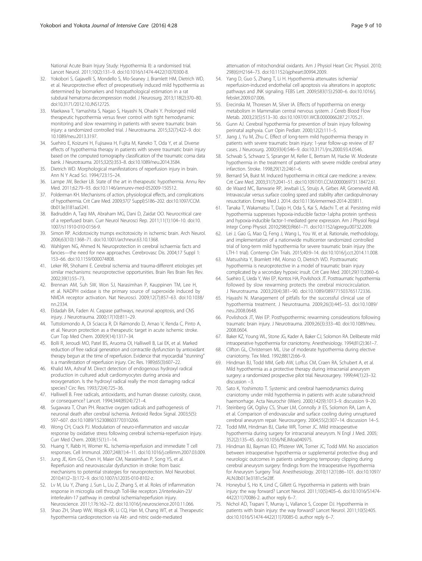<span id="page-8-0"></span>National Acute Brain Injury Study: Hypothermia II): a randomised trial. Lancet Neurol. 2011;10(2):131–9. doi:[10.1016/s1474-4422\(10\)70300-8.](http://dx.doi.org/10.1016/s1474-4422(10)70300-8)

- 32. Yokobori S, Gajavelli S, Mondello S, Mo-Seaney J, Bramlett HM, Dietrich WD, et al. Neuroprotective effect of preoperatively induced mild hypothermia as determined by biomarkers and histopathological estimation in a rat subdural hematoma decompression model. J Neurosurg. 2013;118(2):370–80. doi:[10.3171/2012.10.JNS12725.](http://dx.doi.org/10.3171/2012.10.JNS12725)
- 33. Maekawa T, Yamashita S, Nagao S, Hayashi N, Ohashi Y. Prolonged mild therapeutic hypothermia versus fever control with tight hemodynamic monitoring and slow rewarming in patients with severe traumatic brain injury: a randomized controlled trial. J Neurotrauma. 2015;32(7):422–9. doi: [10.1089/neu.2013.3197](http://dx.doi.org/10.1089/neu.2013.3197).
- 34. Suehiro E, Koizumi H, Fujisawa H, Fujita M, Kaneko T, Oda Y, et al. Diverse effects of hypothermia therapy in patients with severe traumatic brain injury based on the computed tomography classification of the traumatic coma data bank. J Neurotrauma. 2015;32(5):353–8. doi:[10.1089/neu.2014.3584.](http://dx.doi.org/10.1089/neu.2014.3584)
- 35. Dietrich WD. Morphological manifestations of reperfusion injury in brain. Ann N Y Acad Sci. 1994;723:15–24.
- 36. Lampe JW, Becker LB. State of the art in therapeutic hypothermia. Annu Rev Med. 2011;62:79–93. doi[:10.1146/annurev-med-052009-150512.](http://dx.doi.org/10.1146/annurev-med-052009-150512)
- 37. Polderman KH. Mechanisms of action, physiological effects, and complications of hypothermia. Crit Care Med. 2009;37(7 Suppl):S186–202. doi:[10.1097/CCM.](http://dx.doi.org/10.1097/CCM.0b013e3181aa5241) [0b013e3181aa5241.](http://dx.doi.org/10.1097/CCM.0b013e3181aa5241)
- 38. Badruddin A, Taqi MA, Abraham MG, Dani D, Zaidat OO. Neurocritical care of a reperfused brain. Curr Neurol Neurosci Rep. 2011;11(1):104–10. doi[:10.](http://dx.doi.org/10.1007/s11910-010-0156-9) [1007/s11910-010-0156-9.](http://dx.doi.org/10.1007/s11910-010-0156-9)
- 39. Simon RP. Acidotoxicity trumps excitotoxicity in ischemic brain. Arch Neurol. 2006;63(10):1368–71. doi:[10.1001/archneur.63.10.1368.](http://dx.doi.org/10.1001/archneur.63.10.1368)
- 40. Wahlgren NG, Ahmed N. Neuroprotection in cerebral ischaemia: facts and fancies—the need for new approaches. Cerebrovasc Dis. 2004;17 Suppl 1: 153–66. doi:[10.1159/000074808.](http://dx.doi.org/10.1159/000074808)
- 41. Leker RR, Shohami E. Cerebral ischemia and trauma-different etiologies yet similar mechanisms: neuroprotective opportunities. Brain Res Brain Res Rev. 2002;39(1):55–73.
- 42. Brennan AM, Suh SW, Won SJ, Narasimhan P, Kauppinen TM, Lee H, et al. NADPH oxidase is the primary source of superoxide induced by NMDA receptor activation. Nat Neurosci. 2009;12(7):857–63. doi[:10.1038/](http://dx.doi.org/10.1038/nn.2334) [nn.2334.](http://dx.doi.org/10.1038/nn.2334)
- 43. Eldadah BA, Faden AI. Caspase pathways, neuronal apoptosis, and CNS injury. J Neurotrauma. 2000;17(10):811–29.
- 44. Tuttolomondo A, Di Sciacca R, Di Raimondo D, Arnao V, Renda C, Pinto A, et al. Neuron protection as a therapeutic target in acute ischemic stroke. Curr Top Med Chem. 2009;9(14):1317–34.
- 45. Bolli R, Jeroudi MO, Patel BS, Aruoma OI, Halliwell B, Lai EK, et al. Marked reduction of free radical generation and contractile dysfunction by antioxidant therapy begun at the time of reperfusion. Evidence that myocardial "stunning" is a manifestation of reperfusion injury. Circ Res. 1989;65(3):607–22.
- 46. Khalid MA, Ashraf M. Direct detection of endogenous hydroxyl radical production in cultured adult cardiomyocytes during anoxia and reoxygenation. Is the hydroxyl radical really the most damaging radical species? Circ Res. 1993;72(4):725–36.
- 47. Halliwell B. Free radicals, antioxidants, and human disease: curiosity, cause, or consequence? Lancet. 1994;344(8924):721–4.
- 48. Sugawara T, Chan PH. Reactive oxygen radicals and pathogenesis of neuronal death after cerebral ischemia. Antioxid Redox Signal. 2003;5(5): 597–607. doi[:10.1089/152308603770310266.](http://dx.doi.org/10.1089/152308603770310266)
- 49. Wong CH, Crack PJ. Modulation of neuro-inflammation and vascular response by oxidative stress following cerebral ischemia-reperfusion injury. Curr Med Chem. 2008;15(1):1–14.
- 50. Huang Y, Rabb H, Womer KL. Ischemia-reperfusion and immediate T cell responses. Cell Immunol. 2007;248(1):4–11. doi:[10.1016/j.cellimm.2007.03.009](http://dx.doi.org/10.1016/j.cellimm.2007.03.009).
- 51. Jung JE, Kim GS, Chen H, Maier CM, Narasimhan P, Song YS, et al. Reperfusion and neurovascular dysfunction in stroke: from basic mechanisms to potential strategies for neuroprotection. Mol Neurobiol. 2010;41(2–3):172–9. doi[:10.1007/s12035-010-8102-z](http://dx.doi.org/10.1007/s12035-010-8102-z).
- 52. Lv M, Liu Y, Zhang J, Sun L, Liu Z, Zhang S, et al. Roles of inflammation response in microglia cell through Toll-like receptors 2/interleukin-23/ interleukin-17 pathway in cerebral ischemia/reperfusion injury. Neuroscience. 2011;176:162–72. doi:[10.1016/j.neuroscience.2010.11.066.](http://dx.doi.org/10.1016/j.neuroscience.2010.11.066)
- 53. Shao ZH, Sharp WW, Wojcik KR, Li CQ, Han M, Chang WT, et al. Therapeutic hypothermia cardioprotection via Akt- and nitric oxide-mediated

attenuation of mitochondrial oxidants. Am J Physiol Heart Circ Physiol. 2010; 298(6):H2164–73. doi[:10.1152/ajpheart.00994.2009.](http://dx.doi.org/10.1152/ajpheart.00994.2009)

- 54. Yang D, Guo S, Zhang T, Li H. Hypothermia attenuates ischemia/ reperfusion-induced endothelial cell apoptosis via alterations in apoptotic pathways and JNK signaling. FEBS Lett. 2009;583(15):2500–6. doi[:10.1016/j.](http://dx.doi.org/10.1016/j.febslet.2009.07.006) [febslet.2009.07.006.](http://dx.doi.org/10.1016/j.febslet.2009.07.006)
- 55. Erecinska M, Thoresen M, Silver IA. Effects of hypothermia on energy metabolism in Mammalian central nervous system. J Cereb Blood Flow Metab. 2003;23(5):513–30. doi[:10.1097/01.WCB.0000066287.21705.21](http://dx.doi.org/10.1097/01.WCB.0000066287.21705.21).
- 56. Gunn AJ. Cerebral hypothermia for prevention of brain injury following perinatal asphyxia. Curr Opin Pediatr. 2000;12(2):111–5.
- 57. Jiang J, Yu M, Zhu C. Effect of long-term mild hypothermia therapy in patients with severe traumatic brain injury: 1-year follow-up review of 87 cases. J Neurosurg. 2000;93(4):546–9. doi[:10.3171/jns.2000.93.4.0546.](http://dx.doi.org/10.3171/jns.2000.93.4.0546)
- 58. Schwab S, Schwarz S, Spranger M, Keller E, Bertram M, Hacke W. Moderate hypothermia in the treatment of patients with severe middle cerebral artery infarction. Stroke. 1998;29(12):2461–6.
- 59. Bernard SA, Buist M. Induced hypothermia in critical care medicine: a review. Crit Care Med. 2003;31(7):2041–51. doi[:10.1097/01.CCM.0000069731.18472.61](http://dx.doi.org/10.1097/01.CCM.0000069731.18472.61).
- 60. de Waard MC, Banwarie RP, Jewbali LS, Struijs A, Girbes AR, Groeneveld AB. Intravascular versus surface cooling speed and stability after cardiopulmonary resuscitation. Emerg Med J. 2014. doi[:10.1136/emermed-2014-203811.](http://dx.doi.org/10.1136/emermed-2014-203811)
- 61. Tanaka T, Wakamatsu T, Daijo H, Oda S, Kai S, Adachi T, et al. Persisting mild hypothermia suppresses hypoxia-inducible factor-1alpha protein synthesis and hypoxia-inducible factor-1-mediated gene expression. Am J Physiol Regul Integr Comp Physiol. 2010;298(3):R661–71. doi:[10.1152/ajpregu.00732.2009](http://dx.doi.org/10.1152/ajpregu.00732.2009).
- 62. Lei J, Gao G, Mao Q, Feng J, Wang L, You W, et al. Rationale, methodology, and implementation of a nationwide multicenter randomized controlled trial of long-term mild hypothermia for severe traumatic brain injury (the LTH-1 trial). Contemp Clin Trials. 2015;40:9–14. doi[:10.1016/j.cct.2014.11.008.](http://dx.doi.org/10.1016/j.cct.2014.11.008)
- 63. Matsushita Y, Bramlett HM, Alonso O, Dietrich WD. Posttraumatic hypothermia is neuroprotective in a model of traumatic brain injury complicated by a secondary hypoxic insult. Crit Care Med. 2001;29(11):2060–6.
- 64. Suehiro E, Ueda Y, Wei EP, Kontos HA, Povlishock JT. Posttraumatic hypothermia followed by slow rewarming protects the cerebral microcirculation. J Neurotrauma. 2003;20(4):381–90. doi:[10.1089/089771503765172336.](http://dx.doi.org/10.1089/089771503765172336)
- 65. Hayashi N. Management of pitfalls for the successful clinical use of hypothermia treatment. J Neurotrauma. 2009;26(3):445–53. doi[:10.1089/](http://dx.doi.org/10.1089/neu.2008.0648) [neu.2008.0648](http://dx.doi.org/10.1089/neu.2008.0648).
- 66. Povlishock JT, Wei EP. Posthypothermic rewarming considerations following traumatic brain injury. J Neurotrauma. 2009;26(3):333–40. doi:[10.1089/neu.](http://dx.doi.org/10.1089/neu.2008.0604) [2008.0604](http://dx.doi.org/10.1089/neu.2008.0604).
- 67. Baker KZ, Young WL, Stone JG, Kader A, Baker CJ, Solomon RA. Deliberate mild intraoperative hypothermia for craniotomy. Anesthesiology. 1994;81(2):361–7.
- 68. Clifton GL, Christensen ML. Use of moderate hypothermia during elective craniotomy. Tex Med. 1992;88(12):66–9.
- Hindman BJ, Todd MM, Gelb AW, Loftus CM, Craen RA, Schubert A, et al. Mild hypothermia as a protective therapy during intracranial aneurysm surgery: a randomized prospective pilot trial. Neurosurgery. 1999;44(1):23–32. discussion −3.
- 70. Sato K, Yoshimoto T. Systemic and cerebral haemodynamics during craniotomy under mild hypothermia in patients with acute subarachnoid haemorrhage. Acta Neurochir (Wien). 2000;142(9):1013–9. discussion 9–20.
- 71. Steinberg GK, Ogilvy CS, Shuer LM, Connolly Jr ES, Solomon RA, Lam A, et al. Comparison of endovascular and surface cooling during unruptured cerebral aneurysm repair. Neurosurgery. 2004;55(2):307–14. discussion 14–5.
- 72. Todd MM, Hindman BJ, Clarke WR, Torner JC. Mild intraoperative hypothermia during surgery for intracranial aneurysm. N Engl J Med. 2005; 352(2):135–45. doi:[10.1056/NEJMoa040975.](http://dx.doi.org/10.1056/NEJMoa040975)
- 73. Hindman BJ, Bayman EO, Pfisterer WK, Torner JC, Todd MM. No association between intraoperative hypothermia or supplemental protective drug and neurologic outcomes in patients undergoing temporary clipping during cerebral aneurysm surgery: findings from the Intraoperative Hypothermia for Aneurysm Surgery Trial. Anesthesiology. 2010;112(1):86–101. doi[:10.1097/](http://dx.doi.org/10.1097/ALN.0b013e3181c5e28f) [ALN.0b013e3181c5e28f.](http://dx.doi.org/10.1097/ALN.0b013e3181c5e28f)
- 74. Honeybul S, Ho K, Lind C, Gillett G. Hypothermia in patients with brain injury: the way forward? Lancet Neurol. 2011;10(5):405–6. doi:[10.1016/S1474-](http://dx.doi.org/10.1016/S1474-4422(11)70086-2) [4422\(11\)70086-2](http://dx.doi.org/10.1016/S1474-4422(11)70086-2). author reply 6–7.
- 75. Nichol AD, Trapani T, Murray L, Vallance S, Cooper DJ. Hypothermia in patients with brain injury: the way forward? Lancet Neurol. 2011;10(5):405. doi[:10.1016/S1474-4422\(11\)70085-0.](http://dx.doi.org/10.1016/S1474-4422(11)70085-0) author reply 6–7.